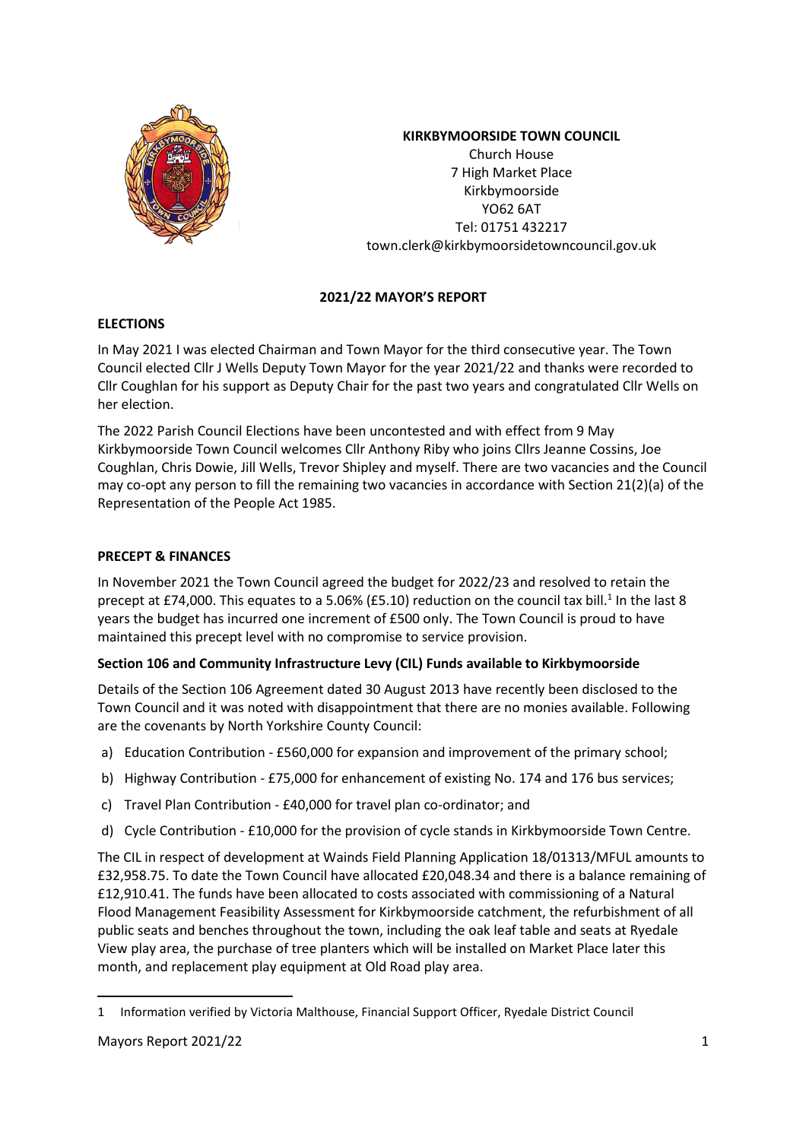

# **KIRKBYMOORSIDE TOWN COUNCIL**

Church House 7 High Market Place Kirkbymoorside YO62 6AT Tel: 01751 432217 town.clerk@kirkbymoorsidetowncouncil.gov.uk

# **2021/22 MAYOR'S REPORT**

# **ELECTIONS**

In May 2021 I was elected Chairman and Town Mayor for the third consecutive year. The Town Council elected Cllr J Wells Deputy Town Mayor for the year 2021/22 and thanks were recorded to Cllr Coughlan for his support as Deputy Chair for the past two years and congratulated Cllr Wells on her election.

The 2022 Parish Council Elections have been uncontested and with effect from 9 May Kirkbymoorside Town Council welcomes Cllr Anthony Riby who joins Cllrs Jeanne Cossins, Joe Coughlan, Chris Dowie, Jill Wells, Trevor Shipley and myself. There are two vacancies and the Council may co-opt any person to fill the remaining two vacancies in accordance with Section 21(2)(a) of the Representation of the People Act 1985.

# **PRECEPT & FINANCES**

In November 2021 the Town Council agreed the budget for 2022/23 and resolved to retain the precept at £74,000. This equates to a 5.06% (£5.10) reduction on the council tax bill.<sup>1</sup> In the last 8 years the budget has incurred one increment of £500 only. The Town Council is proud to have maintained this precept level with no compromise to service provision.

# **Section 106 and Community Infrastructure Levy (CIL) Funds available to Kirkbymoorside**

Details of the Section 106 Agreement dated 30 August 2013 have recently been disclosed to the Town Council and it was noted with disappointment that there are no monies available. Following are the covenants by North Yorkshire County Council:

- a) Education Contribution £560,000 for expansion and improvement of the primary school;
- b) Highway Contribution £75,000 for enhancement of existing No. 174 and 176 bus services;
- c) Travel Plan Contribution £40,000 for travel plan co-ordinator; and
- d) Cycle Contribution £10,000 for the provision of cycle stands in Kirkbymoorside Town Centre.

The CIL in respect of development at Wainds Field Planning Application 18/01313/MFUL amounts to £32,958.75. To date the Town Council have allocated £20,048.34 and there is a balance remaining of £12,910.41. The funds have been allocated to costs associated with commissioning of a Natural Flood Management Feasibility Assessment for Kirkbymoorside catchment, the refurbishment of all public seats and benches throughout the town, including the oak leaf table and seats at Ryedale View play area, the purchase of tree planters which will be installed on Market Place later this month, and replacement play equipment at Old Road play area.

l

<sup>1</sup> Information verified by Victoria Malthouse, Financial Support Officer, Ryedale District Council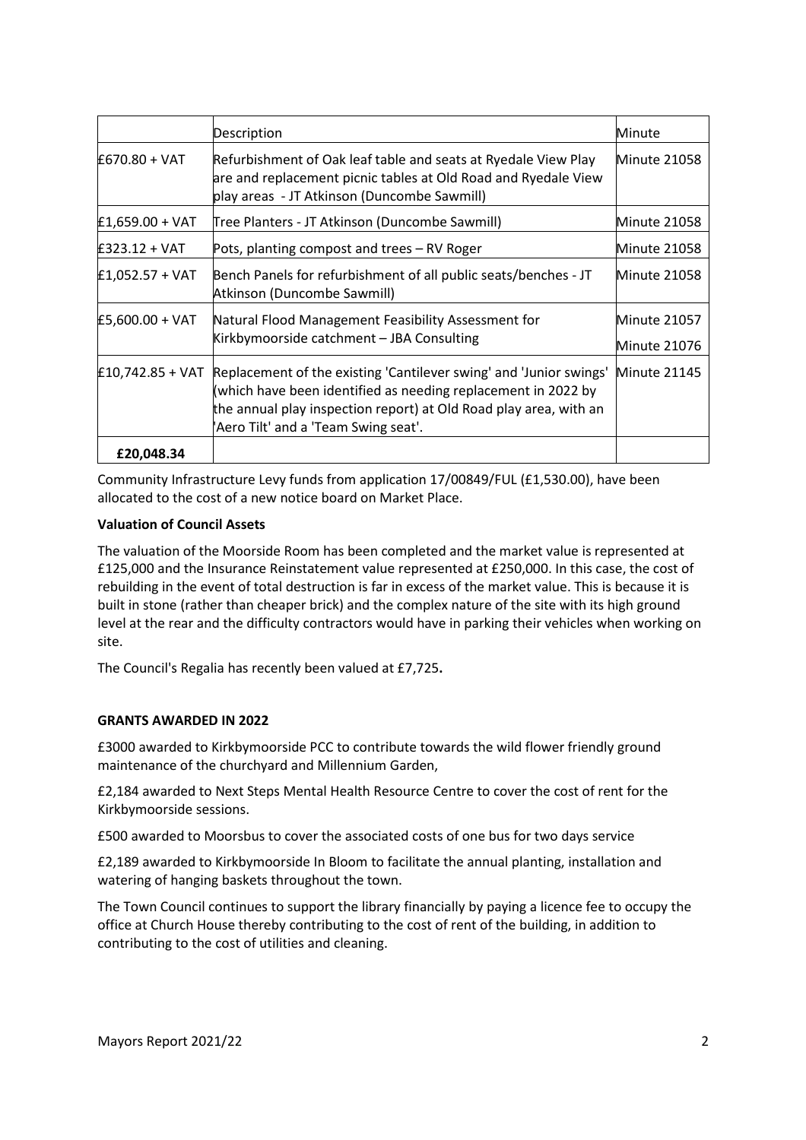|                   | Description                                                                                                                                                                                                                                     | Minute                       |
|-------------------|-------------------------------------------------------------------------------------------------------------------------------------------------------------------------------------------------------------------------------------------------|------------------------------|
| £670.80 + VAT     | Refurbishment of Oak leaf table and seats at Ryedale View Play<br>are and replacement picnic tables at Old Road and Ryedale View<br>play areas - JT Atkinson (Duncombe Sawmill)                                                                 | Minute 21058                 |
| $£1,659.00 + VAT$ | Tree Planters - JT Atkinson (Duncombe Sawmill)                                                                                                                                                                                                  | Minute 21058                 |
| £323.12 + VAT     | Pots, planting compost and trees - RV Roger                                                                                                                                                                                                     | Minute 21058                 |
| $£1,052.57 + VAT$ | Bench Panels for refurbishment of all public seats/benches - JT<br>Atkinson (Duncombe Sawmill)                                                                                                                                                  | Minute 21058                 |
| £5,600.00 + VAT   | Natural Flood Management Feasibility Assessment for<br>Kirkbymoorside catchment - JBA Consulting                                                                                                                                                | Minute 21057<br>Minute 21076 |
| £10,742.85 + VAT  | Replacement of the existing 'Cantilever swing' and 'Junior swings'<br>(which have been identified as needing replacement in 2022 by<br>the annual play inspection report) at Old Road play area, with an<br>Aero Tilt' and a 'Team Swing seat'. | Minute 21145                 |
| £20,048.34        |                                                                                                                                                                                                                                                 |                              |

Community Infrastructure Levy funds from application 17/00849/FUL (£1,530.00), have been allocated to the cost of a new notice board on Market Place.

## **Valuation of Council Assets**

The valuation of the Moorside Room has been completed and the market value is represented at £125,000 and the Insurance Reinstatement value represented at £250,000. In this case, the cost of rebuilding in the event of total destruction is far in excess of the market value. This is because it is built in stone (rather than cheaper brick) and the complex nature of the site with its high ground level at the rear and the difficulty contractors would have in parking their vehicles when working on site.

The Council's Regalia has recently been valued at £7,725**.** 

## **GRANTS AWARDED IN 2022**

£3000 awarded to Kirkbymoorside PCC to contribute towards the wild flower friendly ground maintenance of the churchyard and Millennium Garden,

£2,184 awarded to Next Steps Mental Health Resource Centre to cover the cost of rent for the Kirkbymoorside sessions.

£500 awarded to Moorsbus to cover the associated costs of one bus for two days service

£2,189 awarded to Kirkbymoorside In Bloom to facilitate the annual planting, installation and watering of hanging baskets throughout the town.

The Town Council continues to support the library financially by paying a licence fee to occupy the office at Church House thereby contributing to the cost of rent of the building, in addition to contributing to the cost of utilities and cleaning.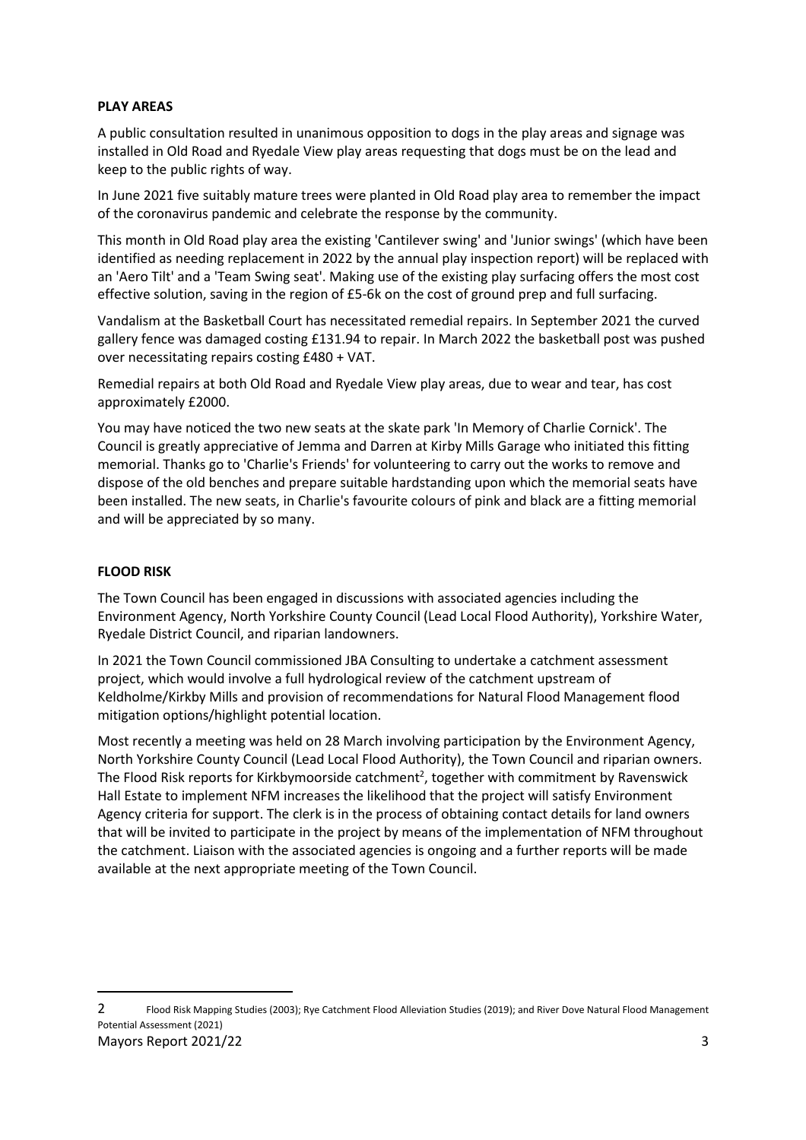## **PLAY AREAS**

A public consultation resulted in unanimous opposition to dogs in the play areas and signage was installed in Old Road and Ryedale View play areas requesting that dogs must be on the lead and keep to the public rights of way.

In June 2021 five suitably mature trees were planted in Old Road play area to remember the impact of the coronavirus pandemic and celebrate the response by the community.

This month in Old Road play area the existing 'Cantilever swing' and 'Junior swings' (which have been identified as needing replacement in 2022 by the annual play inspection report) will be replaced with an 'Aero Tilt' and a 'Team Swing seat'. Making use of the existing play surfacing offers the most cost effective solution, saving in the region of £5-6k on the cost of ground prep and full surfacing.

Vandalism at the Basketball Court has necessitated remedial repairs. In September 2021 the curved gallery fence was damaged costing £131.94 to repair. In March 2022 the basketball post was pushed over necessitating repairs costing £480 + VAT.

Remedial repairs at both Old Road and Ryedale View play areas, due to wear and tear, has cost approximately £2000.

You may have noticed the two new seats at the skate park 'In Memory of Charlie Cornick'. The Council is greatly appreciative of Jemma and Darren at Kirby Mills Garage who initiated this fitting memorial. Thanks go to 'Charlie's Friends' for volunteering to carry out the works to remove and dispose of the old benches and prepare suitable hardstanding upon which the memorial seats have been installed. The new seats, in Charlie's favourite colours of pink and black are a fitting memorial and will be appreciated by so many.

### **FLOOD RISK**

 $\overline{a}$ 

The Town Council has been engaged in discussions with associated agencies including the Environment Agency, North Yorkshire County Council (Lead Local Flood Authority), Yorkshire Water, Ryedale District Council, and riparian landowners.

In 2021 the Town Council commissioned JBA Consulting to undertake a catchment assessment project, which would involve a full hydrological review of the catchment upstream of Keldholme/Kirkby Mills and provision of recommendations for Natural Flood Management flood mitigation options/highlight potential location.

Most recently a meeting was held on 28 March involving participation by the Environment Agency, North Yorkshire County Council (Lead Local Flood Authority), the Town Council and riparian owners. The Flood Risk reports for Kirkbymoorside catchment<sup>2</sup>, together with commitment by Ravenswick Hall Estate to implement NFM increases the likelihood that the project will satisfy Environment Agency criteria for support. The clerk is in the process of obtaining contact details for land owners that will be invited to participate in the project by means of the implementation of NFM throughout the catchment. Liaison with the associated agencies is ongoing and a further reports will be made available at the next appropriate meeting of the Town Council.

Mayors Report 2021/22 3 2 Flood Risk Mapping Studies (2003); Rye Catchment Flood Alleviation Studies (2019); and River Dove Natural Flood Management Potential Assessment (2021)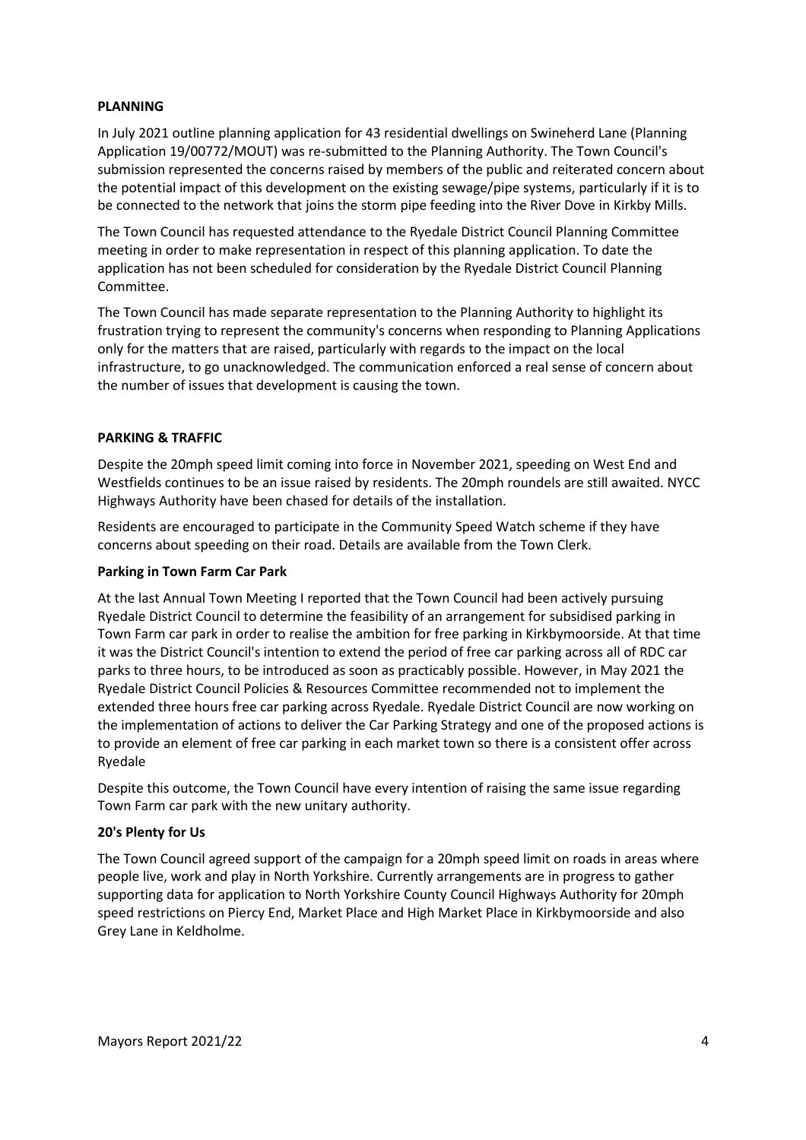### **PLANNING**

In July 2021 outline planning application for 43 residential dwellings on Swineherd Lane (Planning Application 19/00772/MOUT) was re-submitted to the Planning Authority. The Town Council's submission represented the concerns raised by members of the public and reiterated concern about the potential impact of this development on the existing sewage/pipe systems, particularly if it is to be connected to the network that joins the storm pipe feeding into the River Dove in Kirkby Mills.

The Town Council has requested attendance to the Ryedale District Council Planning Committee meeting in order to make representation in respect of this planning application. To date the application has not been scheduled for consideration by the Ryedale District Council Planning Committee.

The Town Council has made separate representation to the Planning Authority to highlight its frustration trying to represent the community's concerns when responding to Planning Applications only for the matters that are raised, particularly with regards to the impact on the local infrastructure, to go unacknowledged. The communication enforced a real sense of concern about the number of issues that development is causing the town.

### **PARKING & TRAFFIC**

Despite the 20mph speed limit coming into force in November 2021, speeding on West End and Westfields continues to be an issue raised by residents. The 20mph roundels are still awaited. NYCC Highways Authority have been chased for details of the installation.

Residents are encouraged to participate in the Community Speed Watch scheme if they have concerns about speeding on their road. Details are available from the Town Clerk.

#### **Parking in Town Farm Car Park**

At the last Annual Town Meeting I reported that the Town Council had been actively pursuing Ryedale District Council to determine the feasibility of an arrangement for subsidised parking in Town Farm car park in order to realise the ambition for free parking in Kirkbymoorside. At that time it was the District Council's intention to extend the period of free car parking across all of RDC car parks to three hours, to be introduced as soon as practicably possible. However, in May 2021 the Ryedale District Council Policies & Resources Committee recommended not to implement the extended three hours free car parking across Ryedale. Ryedale District Council are now working on the implementation of actions to deliver the Car Parking Strategy and one of the proposed actions is to provide an element of free car parking in each market town so there is a consistent offer across Ryedale

Despite this outcome, the Town Council have every intention of raising the same issue regarding Town Farm car park with the new unitary authority.

#### **20's Plenty for Us**

The Town Council agreed support of the campaign for a 20mph speed limit on roads in areas where people live, work and play in North Yorkshire. Currently arrangements are in progress to gather supporting data for application to North Yorkshire County Council Highways Authority for 20mph speed restrictions on Piercy End, Market Place and High Market Place in Kirkbymoorside and also Grey Lane in Keldholme.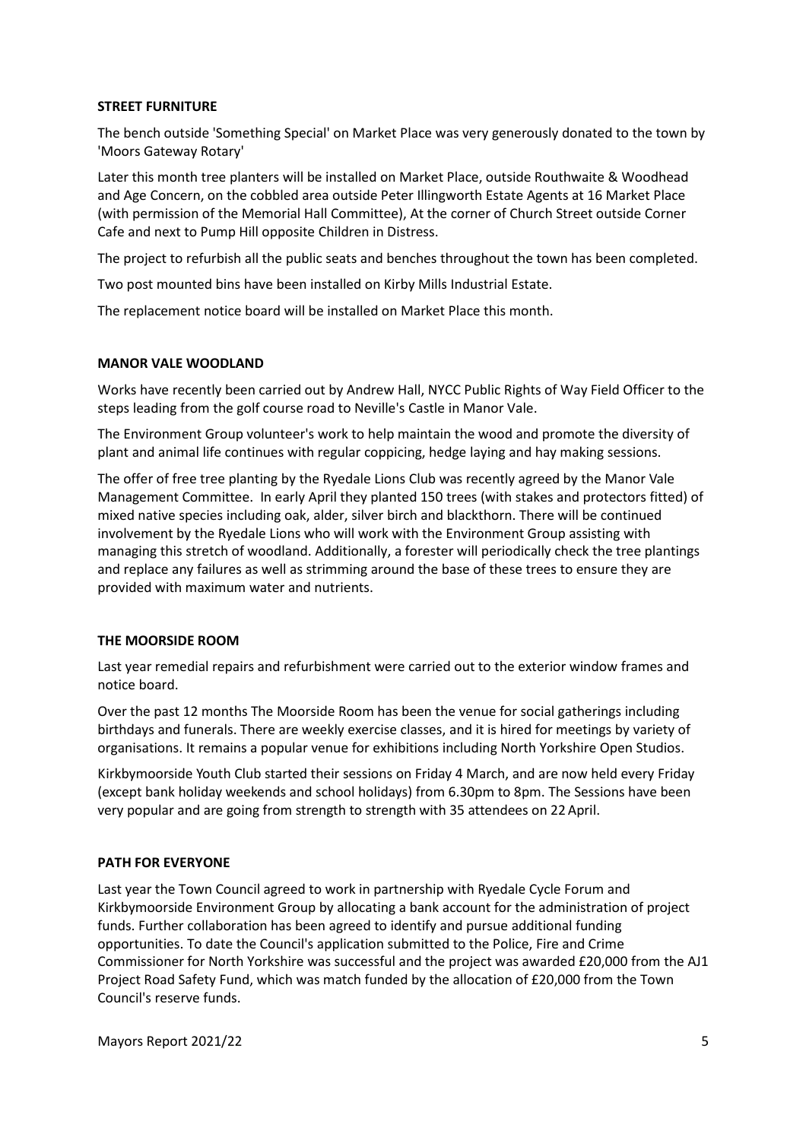### **STREET FURNITURE**

The bench outside 'Something Special' on Market Place was very generously donated to the town by 'Moors Gateway Rotary'

Later this month tree planters will be installed on Market Place, outside Routhwaite & Woodhead and Age Concern, on the cobbled area outside Peter Illingworth Estate Agents at 16 Market Place (with permission of the Memorial Hall Committee), At the corner of Church Street outside Corner Cafe and next to Pump Hill opposite Children in Distress.

The project to refurbish all the public seats and benches throughout the town has been completed.

Two post mounted bins have been installed on Kirby Mills Industrial Estate.

The replacement notice board will be installed on Market Place this month.

### **MANOR VALE WOODLAND**

Works have recently been carried out by Andrew Hall, NYCC Public Rights of Way Field Officer to the steps leading from the golf course road to Neville's Castle in Manor Vale.

The Environment Group volunteer's work to help maintain the wood and promote the diversity of plant and animal life continues with regular coppicing, hedge laying and hay making sessions.

The offer of free tree planting by the Ryedale Lions Club was recently agreed by the Manor Vale Management Committee. In early April they planted 150 trees (with stakes and protectors fitted) of mixed native species including oak, alder, silver birch and blackthorn. There will be continued involvement by the Ryedale Lions who will work with the Environment Group assisting with managing this stretch of woodland. Additionally, a forester will periodically check the tree plantings and replace any failures as well as strimming around the base of these trees to ensure they are provided with maximum water and nutrients.

## **THE MOORSIDE ROOM**

Last year remedial repairs and refurbishment were carried out to the exterior window frames and notice board.

Over the past 12 months The Moorside Room has been the venue for social gatherings including birthdays and funerals. There are weekly exercise classes, and it is hired for meetings by variety of organisations. It remains a popular venue for exhibitions including North Yorkshire Open Studios.

Kirkbymoorside Youth Club started their sessions on Friday 4 March, and are now held every Friday (except bank holiday weekends and school holidays) from 6.30pm to 8pm. The Sessions have been very popular and are going from strength to strength with 35 attendees on 22 April.

## **PATH FOR EVERYONE**

Last year the Town Council agreed to work in partnership with Ryedale Cycle Forum and Kirkbymoorside Environment Group by allocating a bank account for the administration of project funds. Further collaboration has been agreed to identify and pursue additional funding opportunities. To date the Council's application submitted to the Police, Fire and Crime Commissioner for North Yorkshire was successful and the project was awarded £20,000 from the AJ1 Project Road Safety Fund, which was match funded by the allocation of £20,000 from the Town Council's reserve funds.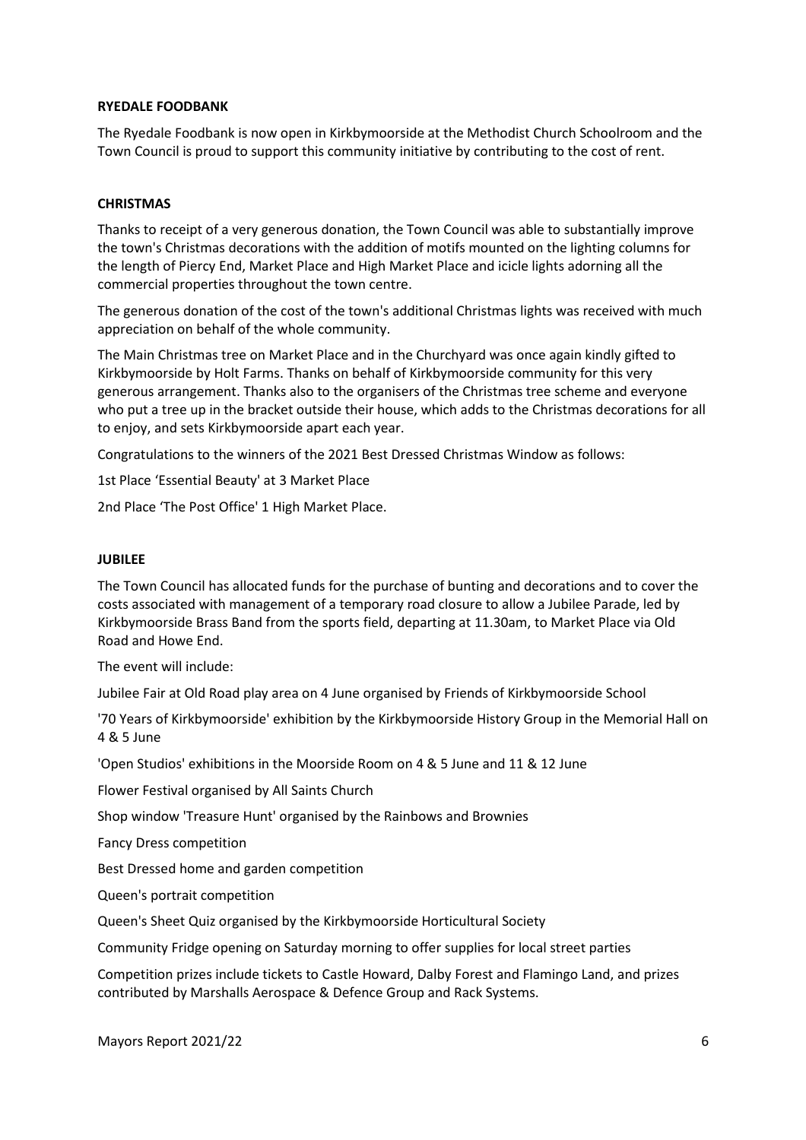#### **RYEDALE FOODBANK**

The Ryedale Foodbank is now open in Kirkbymoorside at the Methodist Church Schoolroom and the Town Council is proud to support this community initiative by contributing to the cost of rent.

### **CHRISTMAS**

Thanks to receipt of a very generous donation, the Town Council was able to substantially improve the town's Christmas decorations with the addition of motifs mounted on the lighting columns for the length of Piercy End, Market Place and High Market Place and icicle lights adorning all the commercial properties throughout the town centre.

The generous donation of the cost of the town's additional Christmas lights was received with much appreciation on behalf of the whole community.

The Main Christmas tree on Market Place and in the Churchyard was once again kindly gifted to Kirkbymoorside by Holt Farms. Thanks on behalf of Kirkbymoorside community for this very generous arrangement. Thanks also to the organisers of the Christmas tree scheme and everyone who put a tree up in the bracket outside their house, which adds to the Christmas decorations for all to enjoy, and sets Kirkbymoorside apart each year.

Congratulations to the winners of the 2021 Best Dressed Christmas Window as follows:

1st Place 'Essential Beauty' at 3 Market Place

2nd Place 'The Post Office' 1 High Market Place.

#### **JUBILEE**

The Town Council has allocated funds for the purchase of bunting and decorations and to cover the costs associated with management of a temporary road closure to allow a Jubilee Parade, led by Kirkbymoorside Brass Band from the sports field, departing at 11.30am, to Market Place via Old Road and Howe End.

The event will include:

Jubilee Fair at Old Road play area on 4 June organised by Friends of Kirkbymoorside School

'70 Years of Kirkbymoorside' exhibition by the Kirkbymoorside History Group in the Memorial Hall on 4 & 5 June

'Open Studios' exhibitions in the Moorside Room on 4 & 5 June and 11 & 12 June

Flower Festival organised by All Saints Church

Shop window 'Treasure Hunt' organised by the Rainbows and Brownies

Fancy Dress competition

Best Dressed home and garden competition

Queen's portrait competition

Queen's Sheet Quiz organised by the Kirkbymoorside Horticultural Society

Community Fridge opening on Saturday morning to offer supplies for local street parties

Competition prizes include tickets to Castle Howard, Dalby Forest and Flamingo Land, and prizes contributed by Marshalls Aerospace & Defence Group and Rack Systems.

Mayors Report 2021/22 6